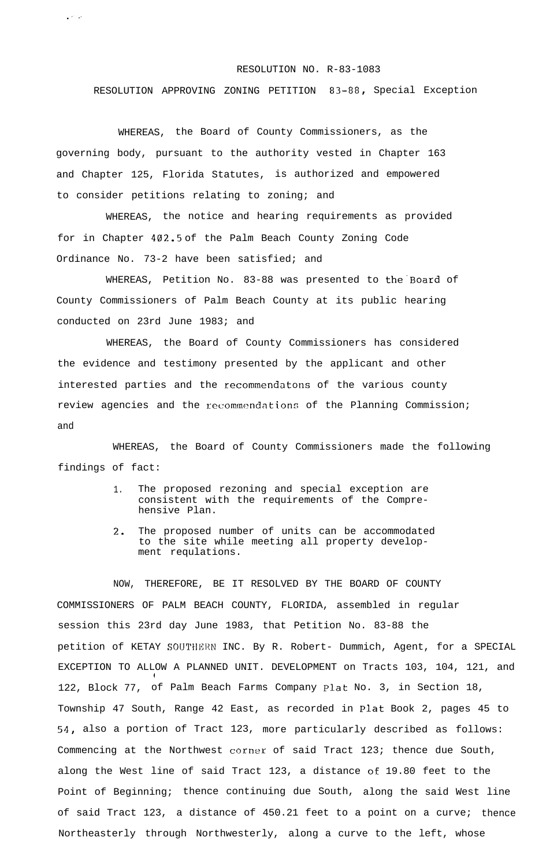## RESOLUTION NO. R-83-1083

RESOLUTION APPROVING ZONING PETITION 83-88, Special Exception

WHEREAS, the Board of County Commissioners, as the governing body, pursuant to the authority vested in Chapter 163 and Chapter 125, Florida Statutes, is authorized and empowered to consider petitions relating to zoning; and

د.<br>مارس

WHEREAS, the notice and hearing requirements as provided for in Chapter 402.5 of the Palm Beach County Zoning Code Ordinance No. 73-2 have been satisfied; and

WHEREAS, Petition No. 83-88 was presented to the'Board of County Commissioners of Palm Beach County at its public hearing conducted on 23rd June 1983; and

WHEREAS, the Board of County Commissioners has considered the evidence and testimony presented by the applicant and other interested parties and the recommendatons of the various county review agencies and the recommendations of the Planning Commission; and

WHEREAS, the Board of County Commissioners made the following findings of fact:

- 1. The proposed rezoning and special exception are consistent with the requirements of the Comprehensive Plan.
- 2. The proposed number of units can be accommodated to the site while meeting all property development requlations.

NOW, THEREFORE, BE IT RESOLVED BY THE BOARD OF COUNTY COMMISSIONERS OF PALM BEACH COUNTY, FLORIDA, assembled in regular session this 23rd day June 1983, that Petition No. 83-88 the petition of KETAY SOUTHERN INC. By R. Robert- Dummich, Agent, for a SPECIAL EXCEPTION TO ALLOW A PLANNED UNIT. DEVELOPMENT on Tracts 103, 104, 121, and 1 122, Block 77, of Palm Beach Farms Company Plat No. 3, in Section 18, Township 47 South, Range 42 East, as recorded in Plat Book 2, pages 45 to 54, also a portion of Tract 123, more particularly described as follows: Commencing at the Northwest corner of said Tract 123; thence due South, along the West line of said Tract 123, a distance of 19.80 feet to the Point of Beginning; thence continuing due South, along the said West line of said Tract 123, a distance of 450.21 feet to a point on a curve; thence Northeasterly through Northwesterly, along a curve to the left, whose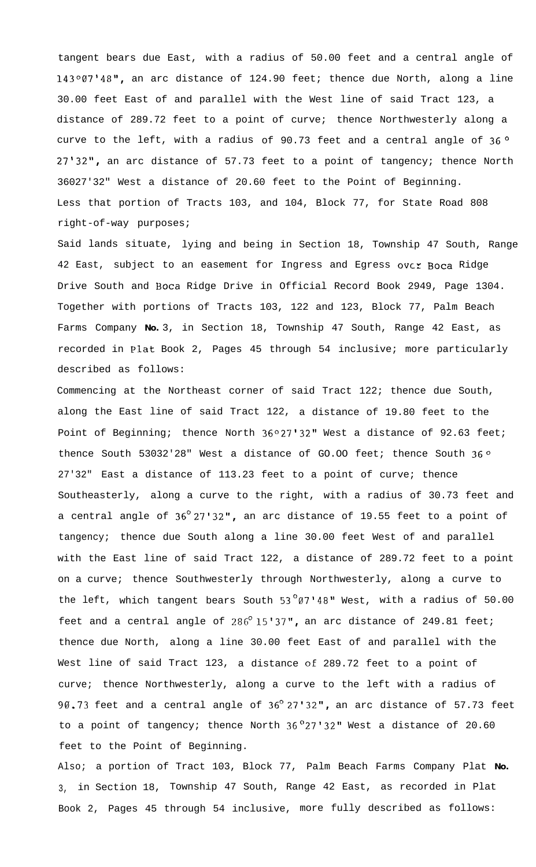tangent bears due East, with a radius of 50.00 feet and a central angle of 143°07'48", an arc distance of 124.90 feet; thence due North, along a line 30.00 feet East of and parallel with the West line of said Tract 123, a distance of 289.72 feet to a point of curve; thence Northwesterly along a curve to the left, with a radius of 90.73 feet and a central angle of  $36^{\circ}$ 27'32", an arc distance of 57.73 feet to a point of tangency; thence North 36027'32" West a distance of 20.60 feet to the Point of Beginning. Less that portion of Tracts 103, and 104, Block 77, for State Road 808 right-of-way purposes;

Said lands situate, lying and being in Section 18, Township 47 South, Range 42 East, subject to an easement for Ingress and Egress over Boca Ridge Drive South and Boca Ridge Drive in Official Record Book 2949, Page 1304. Together with portions of Tracts 103, 122 and 123, Block 77, Palm Beach Farms Company **No.** 3, in Section 18, Township 47 South, Range 42 East, as recorded in Plat Book 2, Pages 45 through 54 inclusive; more particularly described as follows:

Commencing at the Northeast corner of said Tract 122; thence due South, along the East line of said Tract 122, a distance of 19.80 feet to the Point of Beginning; thence North 36°27'32" West a distance of 92.63 feet; thence South 53032'28" West a distance of GO.00 feet; thence South  $36^{\circ}$ 27'32" East a distance of 113.23 feet to a point of curve; thence Southeasterly, along a curve to the right, with a radius of 30.73 feet and a central angle of  $36^{\circ}27'32''$ , an arc distance of 19.55 feet to a point of tangency; thence due South along a line 30.00 feet West of and parallel with the East line of said Tract 122, a distance of 289.72 feet to a point on a curve; thence Southwesterly through Northwesterly, along a curve to the left, which tangent bears South  $53^{\circ}$ 07'48" West, with a radius of 50.00 feet and a central angle of  $286^{\circ}$  15'37", an arc distance of 249.81 feet; thence due North, along a line 30.00 feet East of and parallel with the West line of said Tract 123, a distance of 289.72 feet to a point of curve; thence Northwesterly, along a curve to the left with a radius of 90.73 feet and a central angle of  $36^{\circ}$  27'32", an arc distance of 57.73 feet to a point of tangency; thence North  $36^{\circ}27'32''$  West a distance of 20.60 feet to the Point of Beginning.

Also; a portion of Tract 103, Block 77, Palm Beach Farms Company Plat **No.** 3, in Section 18, Township 47 South, Range 42 East, as recorded in Plat Book 2, Pages 45 through 54 inclusive, more fully described as follows: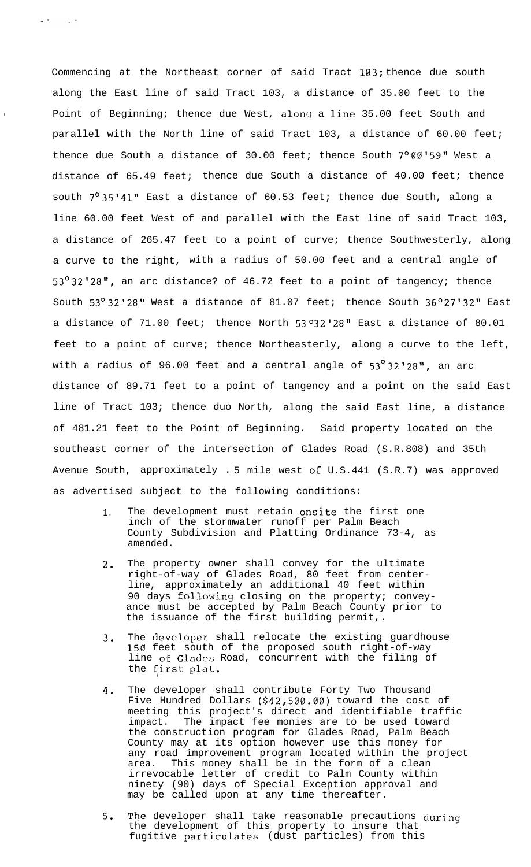Commencing at the Northeast corner of said Tract 103; thence due south along the East line of said Tract 103, a distance of 35.00 feet to the Point of Beginning; thence due West, along a line 35.00 feet South and parallel with the North line of said Tract 103, a distance of 60.00 feet; thence due South a distance of 30.00 feet; thence South  $7^{\circ}$  00'59" West a distance of 65.49 feet; thence due South a distance of 40.00 feet; thence south  $7^{\circ}35'41''$  East a distance of 60.53 feet; thence due South, along a line 60.00 feet West of and parallel with the East line of said Tract 103, a distance of 265.47 feet to a point of curve; thence Southwesterly, along a curve to the right, with a radius of 50.00 feet and a central angle of 53 $^{\circ}$ 32'28", an arc distance? of 46.72 feet to a point of tangency; thence South  $53^{\circ}$  32'28" West a distance of 81.07 feet; thence South  $36^{\circ}27'32''$  East a distance of  $71.00$  feet; thence North  $53^o32'28''$  East a distance of  $80.01$ feet to a point of curve; thence Northeasterly, along a curve to the left, with a radius of 96.00 feet and a central angle of  $53^{\circ}32'28''$ , an arc distance of 89.71 feet to a point of tangency and a point on the said East line of Tract 103; thence duo North, along the said East line, a distance of 481.21 feet to the Point of Beginning. Said property located on the southeast corner of the intersection of Glades Road (S.R.808) and 35th Avenue South, approximately . 5 mile west oE U.S.441 (S.R.7) was approved as advertised subject to the following conditions:

 $\sim 100$ 

- 1. The development must retain onsite the first one inch of the stormwater runoff per Palm Beach County Subdivision and Platting Ordinance 73-4, as amended.
- 2. The property owner shall convey for the ultimate right-of-way of Glades Road, 80 feet from centerline, approximately an additional 40 feet within 90 days fol.lowing closing on the property; conveyance must be accepted by Palm Beach County prior to the issuance of the first building permit,.
- 3. The **deVel.Oper** shall relocate the existing guardhouse 150 feet south of the proposed south right-of-way line of Glades Road, concurrent with the filing of the fiirst plat.
- 4. The developer shall contribute Forty Two Thousand Five Hundred Dollars (\$42,500.00) toward the cost of meeting this project's direct and identifiable traffic impact. The impact fee monies are to be used toward the construction program for Glades Road, Palm Beach County may at its option however use this money for any road improvement program located within the project area. This money shall be in the form of a clean irrevocable letter of credit to Palm County within ninety (90) days of Special Exception approval and may be called upon at any time thereafter.
- 5. The developer shall take reasonable precautions during the development of this property to insure that fugitive particulates (dust particles) from this